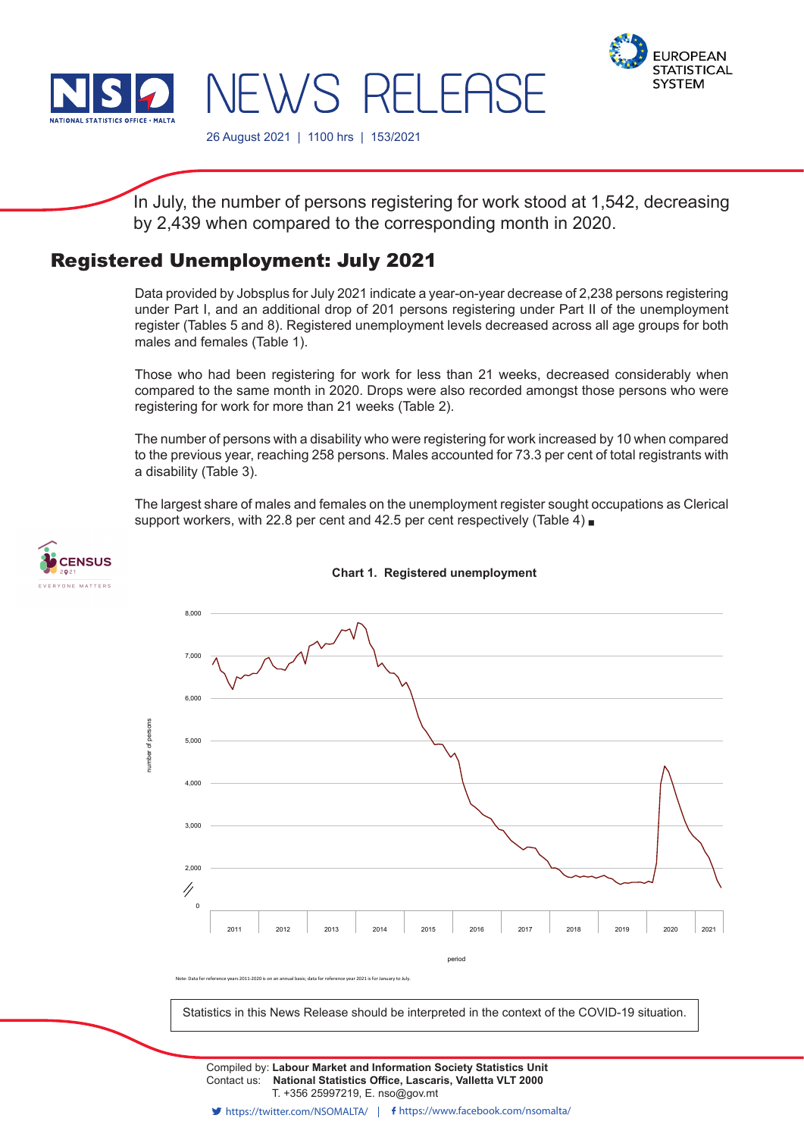

**CENSUS** EVERYONE MATTERS



26 August 2021 | 1100 hrs | 153/2021

NEWS RELEASE

In July, the number of persons registering for work stood at 1,542, decreasing by 2,439 when compared to the corresponding month in 2020.

## Registered Unemployment: July 2021

Data provided by Jobsplus for July 2021 indicate a year-on-year decrease of 2,238 persons registering under Part I, and an additional drop of 201 persons registering under Part II of the unemployment register (Tables 5 and 8). Registered unemployment levels decreased across all age groups for both males and females (Table 1).

Those who had been registering for work for less than 21 weeks, decreased considerably when compared to the same month in 2020. Drops were also recorded amongst those persons who were registering for work for more than 21 weeks (Table 2).

The number of persons with a disability who were registering for work increased by 10 when compared to the previous year, reaching 258 persons. Males accounted for 73.3 per cent of total registrants with a disability (Table 3).

The largest share of males and females on the unemployment register sought occupations as Clerical support workers, with 22.8 per cent and 42.5 per cent respectively (Table 4)



# **Chart 1. Registered unemployment**

Statistics in this News Release should be interpreted in the context of the COVID-19 situation.

Contact us: **National Statistics Office, Lascaris, Valletta VLT 2000** T. +356 25997219, E. nso@gov.mt Compiled by: **Labour Market and Information Society Statistics Unit**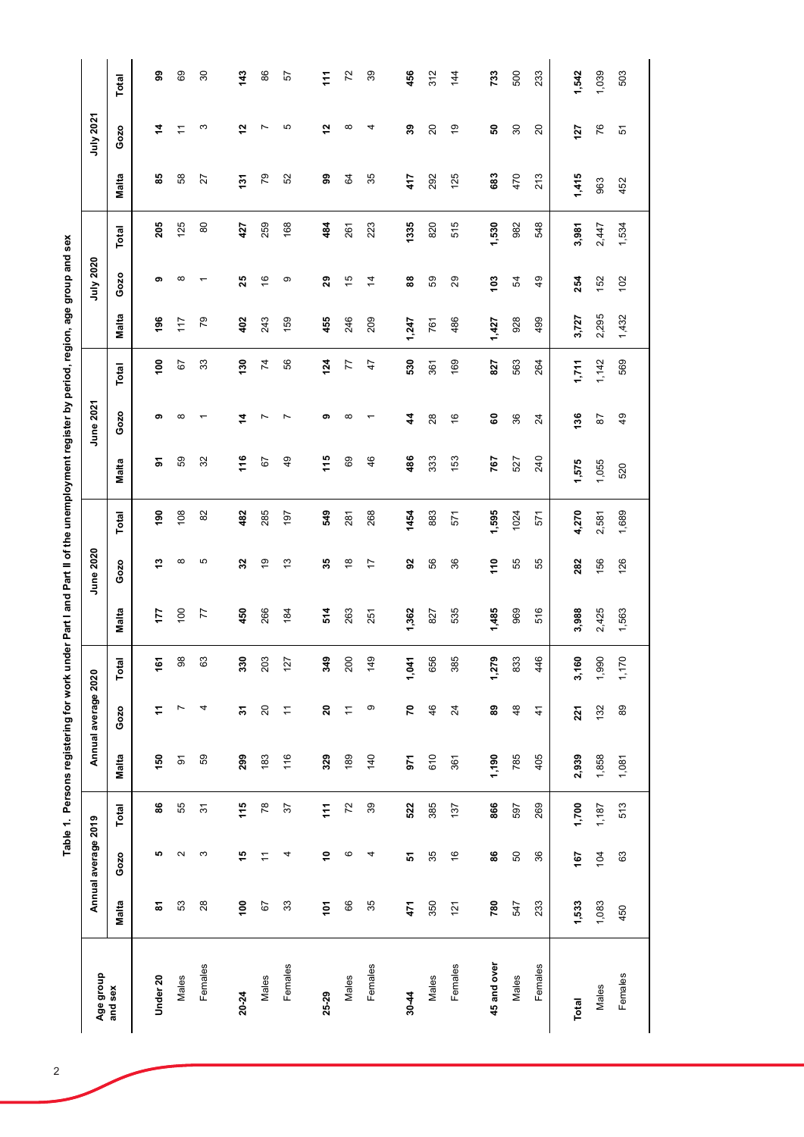| Age group   |                 | Annual average 2019 |                |          | Annual average 2020      |                 |       | June 2020      |               |                 | June 2021       |                 |       | July 2020      |       |                | July 2021      |                  |
|-------------|-----------------|---------------------|----------------|----------|--------------------------|-----------------|-------|----------------|---------------|-----------------|-----------------|-----------------|-------|----------------|-------|----------------|----------------|------------------|
| and sex     | Malta           | Gozo                | Total          | Malta    | Gozo                     | Total           | Malta | Gozo           | Total         | Malta           | Gozo            | Total           | Malta | Gozo           | Total | Malta          | Gozo           | Total            |
| Under 20    | ౚ               | LO.                 | 88             | 150      | Ξ                        | $\frac{16}{16}$ | 177   | ო              | $\frac{8}{2}$ | ৯               | თ               | $\frac{8}{100}$ | 196   | စာ             | 205   | 89             | 4              | 99               |
| Males       | 53              | $\sim$              | 55             | $\delta$ | Ľ                        | ∞<br>ၜ          | 100   | $\infty$       | 108           | 59              | ∞               | 67              | 117   | $\infty$       | 125   | 58             | Ξ              | 69               |
| Females     | 28              | S                   | $\overline{5}$ | 59       | 4                        | S<br>$\circ$    | 77    | 5              | 82            | 32              |                 | 33              | 79    |                | 80    | 27             | S              | $\boldsymbol{S}$ |
| 20-24       | $\frac{8}{100}$ | 10                  | 115            | 299      | 2                        | õ<br>ౢ          | 450   | 32             | 482           | 116             | 4               | $\frac{6}{2}$   | 402   | 25             | 427   | $\overline{5}$ | 51             | 143              |
| Males       | 67              | $\overline{1}$      | 78             | 183      | 20                       | 203             | 266   | $\frac{9}{5}$  | 285           | 67              | Ľ               | $\overline{7}$  | 243   | $\frac{6}{5}$  | 259   | PQ             | Ľ              | 86               |
| Females     | 33              | 4                   | 57             | 116      | $\overline{ }$           | 127             | 184   | 3              | 197           | $\overline{49}$ | ∼               | 56              | 159   | တ              | 168   | S              | 5              | 57               |
|             |                 |                     |                |          |                          |                 |       |                |               |                 |                 |                 |       |                |       |                |                |                  |
| 25-29       | $\frac{2}{10}$  | Ş                   | $\frac{1}{11}$ | 329      | $\overline{\mathbf{20}}$ | ഉ<br>ž          | 514   | 35             | 549           | 115             | စာ              | 124             | 455   | 29             | 484   | இ              | $\frac{5}{2}$  | $\ddot{z}$       |
| Males       | 89              | ဖ                   | 72             | 189      | $\tilde{\tau}$           | 200             | 263   | $\frac{8}{1}$  | 281           | 69              | ∞               | 77              | 246   | $\frac{5}{2}$  | 261   | S,             | $\infty$       | $\overline{72}$  |
| Females     | 35              | 4                   | 39             | 140      | တ                        | တ္<br>$\dot{4}$ | 251   | $\overline{1}$ | 268           | 46              |                 | $\frac{4}{7}$   | 209   | $\overline{4}$ | 223   | 35             | 4              | 39               |
|             |                 |                     |                |          |                          |                 |       |                |               |                 |                 |                 |       |                |       |                |                |                  |
| 30-44       | 471             | 5                   | 522            | 971      | 2                        | 1,041           | 1,362 | 59             | 1454          | 486             | 4               | 530             | 1,247 | 88             | 1335  | 417            | 39             | 456              |
| Males       | 350             | 35                  | 385            | 610      | 46                       | 656             | 827   | 56             | 883           | 333             | 28              | 361             | 761   | 59             | 820   | 292            | $\overline{c}$ | 312              |
| Females     | 121             | $\frac{6}{1}$       | 137            | 361      | 24                       | Ю<br>38         | 535   | 36             | 571           | 153             | $\frac{6}{5}$   | 169             | 486   | 29             | 515   | 125            | ć,             | 144              |
|             |                 |                     |                |          |                          |                 |       |                |               |                 |                 |                 |       |                |       |                |                |                  |
| 45 and over | 780             | 88                  | 866            | 1,190    | 89                       | ō,<br>1,27      | 1,485 | $\frac{1}{10}$ | 1,595         | 767             | 8               | 827             | 1,427 | 103            | 1,530 | 683            | ន              | 733              |
| Males       | 547             | SO                  | 597            | 785      | 48                       | ۵<br>83         | 969   | 55             | 1024          | 527             | 36              | 563             | 928   | 54             | 982   | 470            | $\rm{30}$      | 500              |
| Females     | 233             | 36                  | 269            | 405      | $\frac{4}{3}$            | 446             | 516   | 55             | 571           | 240             | $\overline{24}$ | 264             | 499   | 49             | 548   | 213            | $\overline{c}$ | 233              |
|             |                 |                     |                |          |                          |                 |       |                |               |                 |                 |                 |       |                |       |                |                |                  |
| Total       | 1,533           | 167                 | 1,700          | 2,939    | 221                      | ë<br>3,16       | 3,988 | 282            | 4,270         | 1,575           | 136             | 1,711           | 3,727 | 254            | 3,981 | 1,415          | 127            | 1,542            |
| Males       | 1,083           | 104                 | 1,187          | 1,858    | 132                      | 1,990           | 2,425 | 156            | 2,581         | 1,055           | 87              | 1,142           | 2,295 | 152            | 2,447 | 963            | 76             | 1,039            |
| Females     | 450             | 63                  | 513            | 1,081    | 89                       | 1,170           | 1,563 | 126            | 1,689         | 520             | $\overline{49}$ | 569             | 1,432 | 102            | 1,534 | 452            | 5              | 503              |
|             |                 |                     |                |          |                          |                 |       |                |               |                 |                 |                 |       |                |       |                |                |                  |

Table 1. Persons registering for work under Part I and Part II of the unemployment register by period, region, age group and sex **Table 1. Persons registering for work under Part I and Part II of the unemployment register by period, region, age group and sex**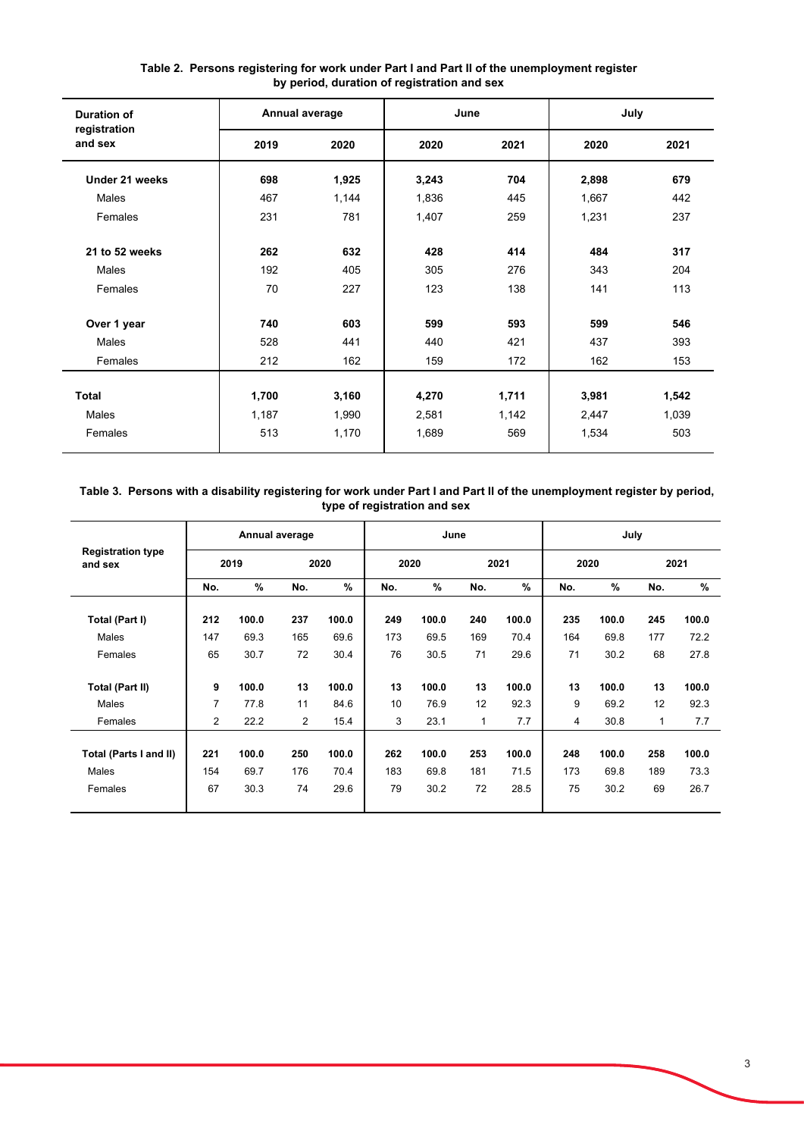| <b>Duration of</b>      | Annual average |       | June  |       | July  |       |
|-------------------------|----------------|-------|-------|-------|-------|-------|
| registration<br>and sex | 2019           | 2020  | 2020  | 2021  | 2020  | 2021  |
| Under 21 weeks          | 698            | 1,925 | 3,243 | 704   | 2,898 | 679   |
| Males                   | 467            | 1,144 | 1,836 | 445   | 1,667 | 442   |
| Females                 | 231            | 781   | 1,407 | 259   | 1,231 | 237   |
|                         |                |       |       |       |       |       |
| 21 to 52 weeks          | 262            | 632   | 428   | 414   | 484   | 317   |
| Males                   | 192            | 405   | 305   | 276   | 343   | 204   |
| Females                 | 70             | 227   | 123   | 138   | 141   | 113   |
| Over 1 year             | 740            | 603   | 599   | 593   | 599   | 546   |
| Males                   | 528            | 441   | 440   | 421   | 437   | 393   |
| Females                 | 212            | 162   | 159   | 172   | 162   | 153   |
|                         |                |       |       |       |       |       |
| Total                   | 1,700          | 3,160 | 4,270 | 1,711 | 3,981 | 1,542 |
| Males                   | 1,187          | 1,990 | 2,581 | 1,142 | 2,447 | 1,039 |
| Females                 | 513            | 1,170 | 1,689 | 569   | 1,534 | 503   |
|                         |                |       |       |       |       |       |

### **Table 2. Persons registering for work under Part I and Part II of the unemployment register by period, duration of registration and sex**

### **Table 3. Persons with a disability registering for work under Part I and Part II of the unemployment register by period, type of registration and sex**

|                                     |     |               | Annual average |       |      | June          |             |       |      | July          |              |       |
|-------------------------------------|-----|---------------|----------------|-------|------|---------------|-------------|-------|------|---------------|--------------|-------|
| <b>Registration type</b><br>and sex |     | 2019          |                | 2020  | 2020 |               |             | 2021  | 2020 |               |              | 2021  |
|                                     | No. | $\frac{9}{6}$ | No.            | %     | No.  | $\frac{9}{6}$ | No.         | $\%$  | No.  | $\frac{9}{6}$ | No.          | $\%$  |
| Total (Part I)                      | 212 | 100.0         | 237            | 100.0 | 249  | 100.0         | 240         | 100.0 | 235  | 100.0         | 245          | 100.0 |
| Males                               | 147 | 69.3          | 165            | 69.6  | 173  | 69.5          | 169         | 70.4  | 164  | 69.8          | 177          | 72.2  |
| Females                             | 65  | 30.7          | 72             | 30.4  | 76   | 30.5          | 71          | 29.6  | 71   | 30.2          | 68           | 27.8  |
| <b>Total (Part II)</b>              | 9   | 100.0         | 13             | 100.0 | 13   | 100.0         | 13          | 100.0 | 13   | 100.0         | 13           | 100.0 |
| Males                               | 7   | 77.8          | 11             | 84.6  | 10   | 76.9          | 12          | 92.3  | 9    | 69.2          | 12           | 92.3  |
| Females                             | 2   | 22.2          | $\overline{2}$ | 15.4  | 3    | 23.1          | $\mathbf 1$ | 7.7   | 4    | 30.8          | $\mathbf{1}$ | 7.7   |
|                                     |     |               |                |       |      |               |             |       |      |               |              |       |
| Total (Parts I and II)              | 221 | 100.0         | 250            | 100.0 | 262  | 100.0         | 253         | 100.0 | 248  | 100.0         | 258          | 100.0 |
| Males                               | 154 | 69.7          | 176            | 70.4  | 183  | 69.8          | 181         | 71.5  | 173  | 69.8          | 189          | 73.3  |
| Females                             | 67  | 30.3          | 74             | 29.6  | 79   | 30.2          | 72          | 28.5  | 75   | 30.2          | 69           | 26.7  |
|                                     |     |               |                |       |      |               |             |       |      |               |              |       |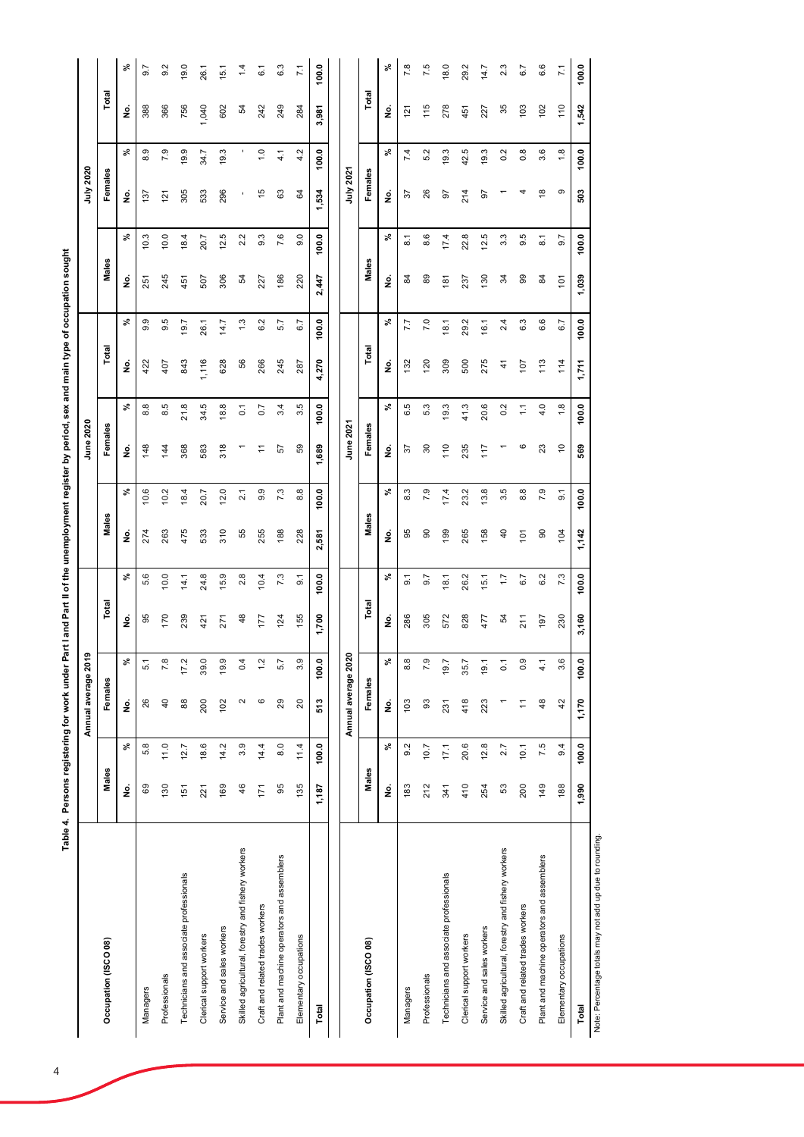|                                                         |       |       | Annual average 201  | თ                |       |                  |                |                    | June 2020      |                  |       |        |       |                    | July 2020     |                   |                |                 |
|---------------------------------------------------------|-------|-------|---------------------|------------------|-------|------------------|----------------|--------------------|----------------|------------------|-------|--------|-------|--------------------|---------------|-------------------|----------------|-----------------|
| Occupation (ISCO 08)                                    | Males |       | Females             |                  | Total |                  | Males          |                    | Females        |                  | Total |        | Males |                    | Females       |                   | Total          |                 |
|                                                         | g     | వి    | ş                   | వి               | ş     | వి               | ş              | వి                 | ş              | వి               | g     | వి     | ş     | వి                 | ş             | వి                | ş              | ৡ               |
| Managers                                                | 69    | 5.8   | 26                  | 5.1              | 95    | 5.6              | 274            | 10.6               | 148            | 8.8              | 422   | თ<br>တ | 251   | 10.3               | 137           | 8.9               | 388            | 9.7             |
| Professionals                                           | 130   | 11.0  | $\overline{4}$      | 7.8              | 170   | 10.0             | 263            | 10.2               | 144            | 8.5              | 407   | 5<br>တ | 245   | 10.0               | 121           | 7.9               | 366            | 9.2             |
| Technicians and associate professionals                 | 151   | 12.7  | 88                  | 17.2             | 239   | 14.1             | 475            | 18.4               | 368            | 21.8             | 843   | 19.7   | 451   | 18.4               | 305           | 19.9              | 756            | 19.0            |
| Clerical support workers                                | 221   | 18.6  | 200                 | 39.0             | 421   | 24.8             | 533            | 20.7               | 583            | 34.5             | 1,116 | 26.1   | 507   | 20.7               | 533           | 34.7              | 1,040          | 26.1            |
| Service and sales workers                               | 169   | 14.2  | 102                 | 19.9             | 271   | 15.9             | 310            | 12.0               | 318            | 18.8             | 628   | 14.7   | 306   | 12.5               | 296           | 19.3              | 602            | 15.1            |
| Skilled agricultural, forestry and fishery workers      | 46    | 3.9   | 2                   | 0.4              | 48    | 2.8              | 55             | $\overline{2.1}$   |                | $\overline{0}$ . | 99    | 1.3    | 54    | 2.2                | ٠             |                   | 54             | 1.4             |
| Craft and related trades workers                        | 171   | 14.4  | ဖ                   | 1.2              | 177   | 10.4             | 255            | 9.9                |                | 0.7              | 266   | 6.2    | 227   | 9.3                | 15            | $\overline{1}$ .0 | 242            | 6.1             |
| Plant and machine operators and assemblers              | 95    | 8.0   | 29                  | 5.7              | 124   | 7.3              | 188            | 7.3                | 57             | 3.4              | 245   | 5.7    | 186   | 7.6                | 63            | 4.1               | 249            | 6.3             |
| Elementary occupations                                  | 135   | 11.4  | 20                  | 3.9              | 155   | $\overline{9}$ . | 228            | 8.8                | 89             | 3.5              | 287   | 6.7    | 220   | 0.6                | 34            | 4.2               | 284            | $\overline{71}$ |
| Total                                                   | 1,187 | 100.0 | 513                 | 100.0            | 1,700 | 100.0            | 2,581          | 100.0              | 1,689          | 100.0            | 4,270 | 100.0  | 2,447 | 100.0              | 1,534         | 100.0             | 3,981          | 100.0           |
|                                                         |       |       | Annual average 2020 |                  |       |                  |                |                    | June 2021      |                  |       |        |       |                    | July 2021     |                   |                |                 |
| Occupation (ISCO 08)                                    | Males |       | Females             |                  | Total |                  | Males          |                    | Females        |                  | Total |        | Males |                    | Females       |                   | Total          |                 |
|                                                         | ş     | వి    | ş                   | ೢೕ               | ş     | వి               | ş              | వి                 | ş              | వి               | ş     | వి     | ş     | వి                 | ş             | వి                | ş              | వ్              |
| Managers                                                | 183   | 9.2   | 103                 | $8.\overline{8}$ | 286   | $\overline{9}$   | 95             | 8.3                | 75             | 6.5              | 132   | 7.7    | 2     | $\overline{\circ}$ | 75            | 7.4               | $\overline{2}$ | 7.8             |
| Professionals                                           | 212   | 10.7  | SS                  | 7.9              | 305   | 9.7              | 90             | 7.9                | 30             | 5.3              | 120   | 7.0    | 89    | 8.6                | 26            | 5.2               | 115            | 7.5             |
| Technicians and associate professionals                 | 341   | 17.1  | 231                 | 19.7             | 572   | 18.1             | 199            | 17.4               | 110            | 19.3             | 309   | 18.1   | 181   | 17.4               | 92            | 19.3              | 278            | 18.0            |
| Clerical support workers                                | 410   | 20.6  | 418                 | 35.7             | 828   | 26.2             | 265            | 23.2               | 235            | 41.3             | 500   | 29.2   | 237   | 22.8               | 214           | 42.5              | 451            | 29.2            |
| Service and sales workers                               | 254   | 12.8  | 223                 | 19.1             | 477   | 15.1             | 158            | 13.8               | 117            | 20.6             | 275   | 16.1   | 130   | 12.5               | 92            | 19.3              | 227            | 14.7            |
| Skilled agricultural, forestry and fishery workers      | S3    | 2.7   |                     | $\overline{0}$ . | 54    | $\overline{1}$ : | $\overline{4}$ | 3.5                |                | 0.2              | 4     | 2.4    | रू    | 3.3                |               | 0.2               | 35             | 2.3             |
| Craft and related trades workers                        | 200   | 10.1  | ÷                   | 0.9              | 211   | 6.7              | 101            | $\frac{8}{8}$      | ဖ              | $\overline{L}$   | 107   | 6.3    | 8     | 9.5                | 4             | $0.\overline{8}$  | 103            | 6.7             |
| Plant and machine operators and assemblers              | 149   | 7.5   | 48                  | $\frac{1}{4}$    | 197   | 6.2              | $\overline{0}$ | 7.9                | 23             | 4.0              | 113   | 6.6    | ಹ     | $\overline{\circ}$ | $\frac{8}{1}$ | 3.6               | 102            | 6.6             |
| Elementary occupations                                  | 188   | 9.4   | 42                  | 3.6              | 230   | 7.3              | 104            | $\overline{9}$ . 1 | $\overline{C}$ | 1.8              | 114   | 6.7    | 101   | 9.7                | ၜ             | 1.8               | 110            | $\overline{71}$ |
| Total                                                   | 1,990 | 100.0 | 1,170               | 100.0            | 3,160 | 100.0            | 1,142          | 100.0              | 569            | 100.0            | 1,711 | 100.0  | 1,039 | 100.0              | 503           | 100.0             | 1,542          | 100.0           |
| Note: Percentage totals may not add up due to rounding. |       |       |                     |                  |       |                  |                |                    |                |                  |       |        |       |                    |               |                   |                |                 |

Table 4. Persons registering for work under Part I and Part II of the unemployment register by period, sex and main type of occupation sought **Table 4. Persons registering for work under Part I and Part II of the unemployment register by period, sex and main type of occupation sought**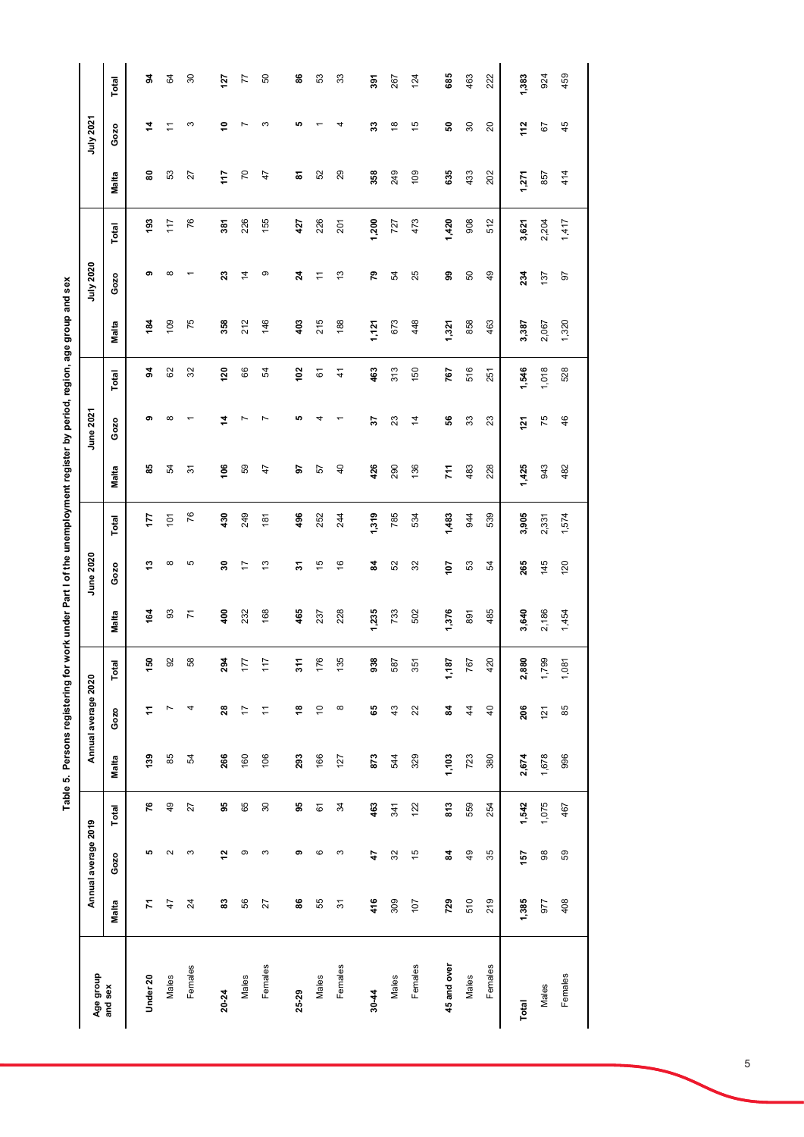| Voa hun ann ann ann ann eav<br>${1 \over 2}$ |                |
|----------------------------------------------|----------------|
|                                              |                |
|                                              |                |
|                                              |                |
|                                              |                |
|                                              |                |
|                                              |                |
| l                                            | $\blacksquare$ |
| ;<br>집                                       |                |

| Age group   |       | Annual average 2019 |                   |                | Annual average 2020 |             |                | June 2020      |       |                | June 2021      |               |       | July 2020 |       |       | July 2021      |                   |
|-------------|-------|---------------------|-------------------|----------------|---------------------|-------------|----------------|----------------|-------|----------------|----------------|---------------|-------|-----------|-------|-------|----------------|-------------------|
| and sex     | Malta | Gozo                | Total             | Malta          | Gozo                | Total       | Malta          | Gozo           | Total | <b>Malta</b>   | Gozo           | Total         | Malta | Gozo      | Total | Malta | Gozo           | Total             |
| Under 20    | 7     | ю                   | ۴                 | $\frac{39}{2}$ | ÷                   | 150         | īg             | ఞ              | 177   | 58             | ၈              | 2             | 184   | თ         | 193   | 8     | 4              | 2                 |
| Males       | 47    | $\sim$              | $\overline{49}$   | 85             | Ņ                   | ā<br>တ      | 93             | $^\infty$      | 101   | 54             | ∞              | 29            | 109   | $\infty$  | 117   | S3    |                | 84                |
| Females     | 24    | S                   | 27                | R,             | 4                   | ∞<br>ഥ      | $\overline{r}$ | Ю              | 76    | 5              |                | 32            | 75    |           | 76    | 27    | S              | $\boldsymbol{30}$ |
| 20-24       | ន     | $\overline{a}$      | 93                | 266            | 28                  | 4<br>ଅ      | 400            | ន              | 430   | 106            |                | 120           | 358   | ឌ         | 381   | 117   | ∘              | 127               |
| Males       | 56    | ၜ                   | 65                | 160            | $\overline{1}$      | ÷           | 232            | $\overline{1}$ | 249   | 59             |                | 66            | 212   | 4         | 226   | 70    |                | 77                |
| Females     | 27    | S                   | $\boldsymbol{30}$ | 106            | $\overline{a}$      | $\tilde{r}$ | 168            | $\frac{3}{2}$  | 181   | 47             |                | 54            | 146   | თ         | 155   | 47    | ∞              | 50                |
| 25-29       | 86    | თ                   | 95                | 293            | ₽                   | 7           | 465            | 2              | 496   | 5              | ю              | 102           | 403   | 24        | 427   | ౚ     | Ю              | 86                |
| Males       | 55    | ဖ                   | 61                | 166            | $\tilde{=}$         | 0<br>F,     | 237            | 15             | 252   | 57             | 4              | 61            | 215   | Ξ         | 226   | 52    |                | 53                |
| Females     | 57    | S                   | 34                | 127            | $\infty$            | 135         | 228            | $\frac{6}{5}$  | 244   | $\overline{4}$ |                | $\frac{4}{3}$ | 188   | 13        | 201   | 29    |                | 33                |
| $30 - 44$   | 416   | 47                  | 463               | 873            | မ္မ                 | 938         | 1,235          | 24             | 1,319 | 426            | 2              | 463           | 1,127 | 54        | 1,200 | 358   | 33             | 391               |
| Males       | 309   | 32                  | 341               | 544            | 43                  | 587         | 733            | 52             | 785   | 290            | 23             | 313           | 673   | Ŗ         | 727   | 249   | $\frac{8}{3}$  | 267               |
| Females     | 107   | 15                  | 122               | 329            | 22                  | 351         | 502            | 32             | 534   | 136            | $\overline{4}$ | 150           | 448   | 25        | 473   | 109   | 45             | 124               |
| 45 and over | 729   | 24                  | 813               | 1,103          | 24                  | 1,187       | 1,376          | 107            | 1,483 | 711            | 56             | 767           | 1,321 | ஐ         | 1,420 | 635   | ន              | 685               |
| Males       | 510   | 49                  | 559               | 723            | $\overline{4}$      | 767         | 891            | 53             | 944   | 483            | 33             | 516           | 858   | 50        | 908   | 433   | 30             | 463               |
| Females     | 219   | 35                  | 254               | 380            | $\overline{40}$     | 420         | 485            | 54             | 539   | 228            | 23             | 251           | 463   | 9         | 512   | 202   | $\overline{c}$ | 222               |
| Total       | 1,385 | 157                 | 1,542             | 2,674          | 206                 | 2,880       | 3,640          | 265            | 3,905 | 1,425          | 21             | 1,546         | 3,387 | 234       | 3,621 | 1,271 | 112            | 1,383             |
| Males       | 977   | 88                  | 1,075             | 1,678          | 121                 | 1,799       | 2,186          | 145            | 2,331 | 943            | 75             | 1,018         | 2,067 | 137       | 2,204 | 857   | 67             | 924               |
| Females     | 408   | 59                  | 467               | 996            | 85                  | 1,081       | 1,454          | 120            | 1,574 | 482            | 46             | 528           | 1,320 | 67        | 1,417 | 414   | 45             | 459               |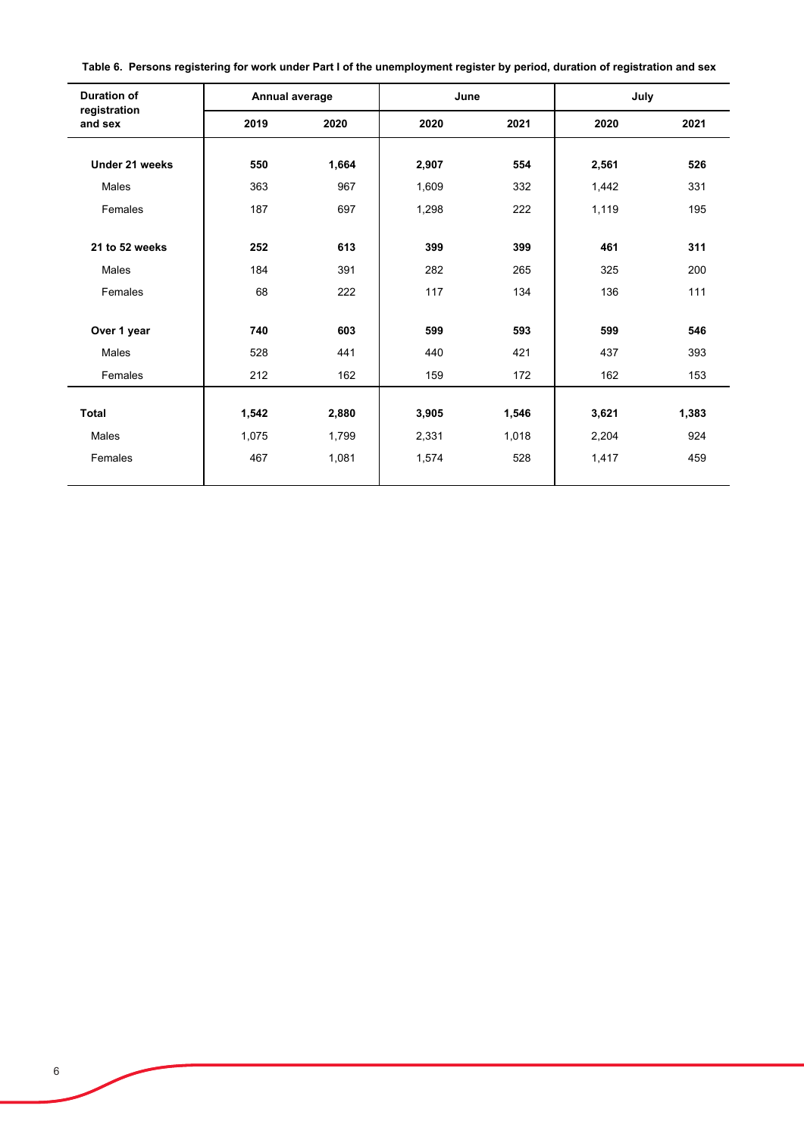**Table 6. Persons registering for work under Part I of the unemployment register by period, duration of registration and sex**

| <b>Duration of</b>      | Annual average |       | June  |       | July  |       |
|-------------------------|----------------|-------|-------|-------|-------|-------|
| registration<br>and sex | 2019           | 2020  | 2020  | 2021  | 2020  | 2021  |
| Under 21 weeks          | 550            | 1,664 | 2,907 | 554   | 2,561 | 526   |
| Males                   | 363            | 967   | 1,609 | 332   | 1,442 | 331   |
| Females                 | 187            | 697   | 1,298 | 222   | 1,119 | 195   |
| 21 to 52 weeks          | 252            | 613   | 399   | 399   | 461   | 311   |
| Males                   | 184            | 391   | 282   | 265   | 325   | 200   |
| Females                 | 68             | 222   | 117   | 134   | 136   | 111   |
| Over 1 year             | 740            | 603   | 599   | 593   | 599   | 546   |
| Males                   | 528            | 441   | 440   | 421   | 437   | 393   |
| Females                 | 212            | 162   | 159   | 172   | 162   | 153   |
| Total                   | 1,542          | 2,880 | 3,905 | 1,546 | 3,621 | 1,383 |
| Males                   | 1,075          | 1,799 | 2,331 | 1,018 | 2,204 | 924   |
| Females                 | 467            | 1,081 | 1,574 | 528   | 1,417 | 459   |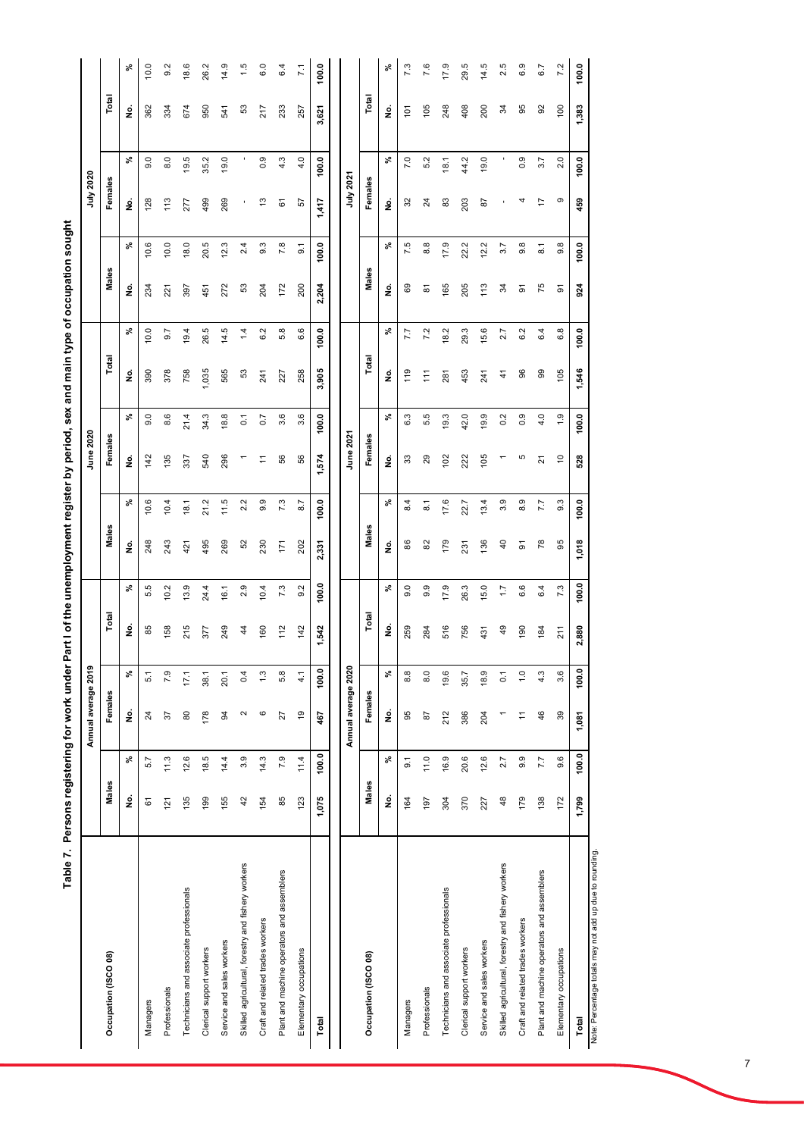| Table 7. Persons registering for work under P      |                    |                  |                     |                  |                |              |                    |                  | art I of the unemployment register by period, sex and main type of occupation sought |                |                    |                      |                    |                    |                    |              |               |                 |
|----------------------------------------------------|--------------------|------------------|---------------------|------------------|----------------|--------------|--------------------|------------------|--------------------------------------------------------------------------------------|----------------|--------------------|----------------------|--------------------|--------------------|--------------------|--------------|---------------|-----------------|
|                                                    |                    |                  | Annual average 2019 |                  |                |              |                    |                  | June 2020                                                                            |                |                    |                      |                    |                    | July 2020          |              |               |                 |
| Occupation (ISCO 08)                               | Males              |                  | Females             |                  | Total          |              | Males              |                  | Females                                                                              |                | Total              |                      | Males              |                    | Females            |              | Total         |                 |
|                                                    | <u>ؤ</u>           | వి               | $\dot{\mathbf{z}}$  | వి               | ş              | వి           | $\dot{\mathbf{z}}$ | వి               | $\dot{\mathbf{z}}$                                                                   | వి             | $\dot{\mathbf{z}}$ | వి                   | ş                  | వి                 | g                  | వి           | ş             | $\mathcal{S}_6$ |
| Managers                                           | 61                 | 5.7              | $^{24}$             | 5.1              | 85             | ю<br>τò      | 248                | 10.6             | 142                                                                                  | 0.6            | 390                | 10.0                 | 234                | 10.6               | 128                | Q<br>တ       | 362           | 10.0            |
| Professionals                                      | 121                | 11.3             | 57                  | 7.9              | 158            | 10.2         | 243                | 10.4             | 135                                                                                  | 8.6            | 378                | 9.7                  | 221                | 10.0               | 113                | $\circ$<br>∞ | 334           | 9.2             |
| Technicians and associate professionals            | 135                | 12.6             | 80                  | 17.1             | 215            | 13.9         | 421                | 18.1             | 337                                                                                  | 21.4           | 758                | 19.4                 | 397                | 18.0               | 277                | 19.5         | 674           | 18.6            |
| Clerical support workers                           | 199                | 18.5             | 178                 | 38.1             | 377            | 24.4         | 495                | 21.2             | 540                                                                                  | 34.3           | ,035               | 26.5                 | 451                | 20.5               | 499                | 35.2         | 950           | 26.2            |
| Service and sales workers                          | 155                | 14.4             | 3                   | 20.1             | 249            | 16.1         | 269                | 11.5             | 296                                                                                  | 18.8           | 565                | LO<br>$\overline{4}$ | 272                | 12.3               | 269                | 19.0         | 541           | 14.9            |
| Skilled agricultural, forestry and fishery workers | 42                 | 3.9              | $\sim$              | 0.4              | $\ddot{4}$     | 2.9          | 52                 | 2.2              |                                                                                      | $\overline{0}$ | 53                 | 1.4                  | 53                 | 2.4                | ٠                  | ٠            | 53            | 1.5             |
| Craft and related trades workers                   | 154                | 14.3             | ဖ                   | 1.3              | 160            | 10.4         | 230                | 9.9              | Ξ                                                                                    | $\overline{0}$ | 241                | 6.2                  | 204                | $9.\overline{3}$   | مبر<br>ب           | 0.9          | 217           | 6.0             |
| Plant and machine operators and assemblers         | 85                 | 7.9              | 27                  | 5.8              | 112            | 7.3          | 171                | 7.3              | 56                                                                                   | 3.6            | 227                | 5.8                  | 172                | 7.8                | 61                 | 4.3          | 233           | 6.4             |
| Elementary occupations                             | 123                | 11.4             | 6                   | $\frac{1}{4}$    | 142            | 9.2          | 202                | 8.7              | 56                                                                                   | 3.6            | 258                | 6.6                  | 200                | $\overline{9}$ . 1 | 57                 | 4.0          | 257           | 7.1             |
| Total                                              | 1,075              | 100.0            | 467                 | 100.0            | 1,542          | 100.0        | 2,331              | 100.0            | 574                                                                                  | 100.0          | <b>905</b><br>್    | 100.0                | 2,204              | 100.0              | 1,417              | 100.0        | 3,621         | 100.0           |
|                                                    |                    |                  |                     |                  |                |              |                    |                  |                                                                                      |                |                    |                      |                    |                    |                    |              |               |                 |
|                                                    |                    |                  | Annual average 2020 |                  |                |              |                    |                  | June 2021                                                                            |                |                    |                      |                    |                    | July 2021          |              |               |                 |
| Occupation (ISCO 08)                               | Males              |                  | Females             |                  | Total          |              | Males              |                  | Females                                                                              |                | Total              |                      | Males              |                    | Females            |              | Total         |                 |
|                                                    | $\dot{\mathbf{z}}$ | వి               | ş                   | వ్               | ş              | వి           | $\dot{\mathbf{z}}$ | వి               | $\dot{\mathbf{z}}$                                                                   | వి             | $\dot{\mathbf{z}}$ | వి                   | $\dot{\mathbf{z}}$ | వి                 | $\dot{\mathbf{z}}$ | వి           | ş             | వి              |
| Managers                                           | 164                | $\overline{9}$ . | 95                  | 8.8              | 259            | 0.6          | 88                 | 4<br>∞           | 33                                                                                   | 6.3            | 119                | 7.7                  | 89                 | 7.5                | 32                 | 7.0          | 101           | 7.3             |
| Professionals                                      | 197                | 11.0             | 28                  | 8.0              | 284            | တ<br>တ       | 82                 | $\overline{8}$ . | 29                                                                                   | 5.5            | 111                | 7.2                  | ౚ                  | 8.8                | $\overline{c}$     | 5.2          | 105           | 7.6             |
| Technicians and associate professionals            | 304                | 16.9             | 212                 | 19.6             | 516            | 17.9         | 179                | 17.6             | 102                                                                                  | 19.3           | 281                | 18.2                 | 165                | 17.9               | 83                 | 18.1         | 248           | 17.9            |
| Clerical support workers                           | 370                | 20.6             | 386                 | 35.7             | 756            | 26.3         | 231                | 22.7             | 222                                                                                  | 42.0           | 453                | 29.3                 | 205                | 22.2               | 203                | 44.2         | 408           | 29.5            |
| Service and sales workers                          | 227                | 12.6             | 204                 | 18.9             | 431            | 15.0         | 136                | 13.4             | 105                                                                                  | 19.9           | 241                | 15.6                 | 113                | 12.2               | 87                 | 19.0         | 200           | 14.5            |
| Skilled agricultural, forestry and fishery workers | 48                 | 2.7              |                     | $\overline{0}$   | $\overline{5}$ | $\ddot{ }$ : | $\overline{4}$     | 3.9              |                                                                                      | 0.2            | $\vec{+}$          | 2.7                  | 34                 | 3.7                | ٠                  | ٠            | 34            | 2.5             |
| Craft and related trades workers                   | 179                | 9.9              | $\tilde{t}$         | $\frac{0}{1}$    | 190            | 6.6          | వ్                 | တ<br>∞           | 5                                                                                    | 0.9            | 96                 | 6.2                  | 5                  | $9.\overline{8}$   | 4                  | တ<br>ö       | 95            | 6.9             |
| Plant and machine operators and assemblers         | 138                | 7.7              | 46                  | 4.3              | 184            | 6.4          | 78                 | 7.7              | $\overline{2}$                                                                       | 4.0            | 8                  | 6.4                  | 75                 | $\overline{8}$ .   | 17                 | 3.7          | $\mathcal{S}$ | 6.7             |
| Elementary occupations                             | 172                | 9.6              | 39                  | $3.\overline{6}$ | 211            | 7.3          | 95                 | $9.\overline{3}$ | $\tilde{c}$                                                                          | 0.1            | 105                | $6.\overline{8}$     | 5                  | $9.\overline{8}$   | တ                  | 2.0          | 100           | 7.2             |
| Total                                              | 1,799              | 100.0            | 1,081               | 100.0            | 2,880          | 100.0        | 1,018              | 100.0            | 528                                                                                  | 100.0          | 1,546              | 100.0                | 924                | 100.0              | 459                | 100.0        | 1,383         | 100.0           |

Note: Percentage totals may not add up due to rounding. Note: Percentage totals may not add up due to rounding.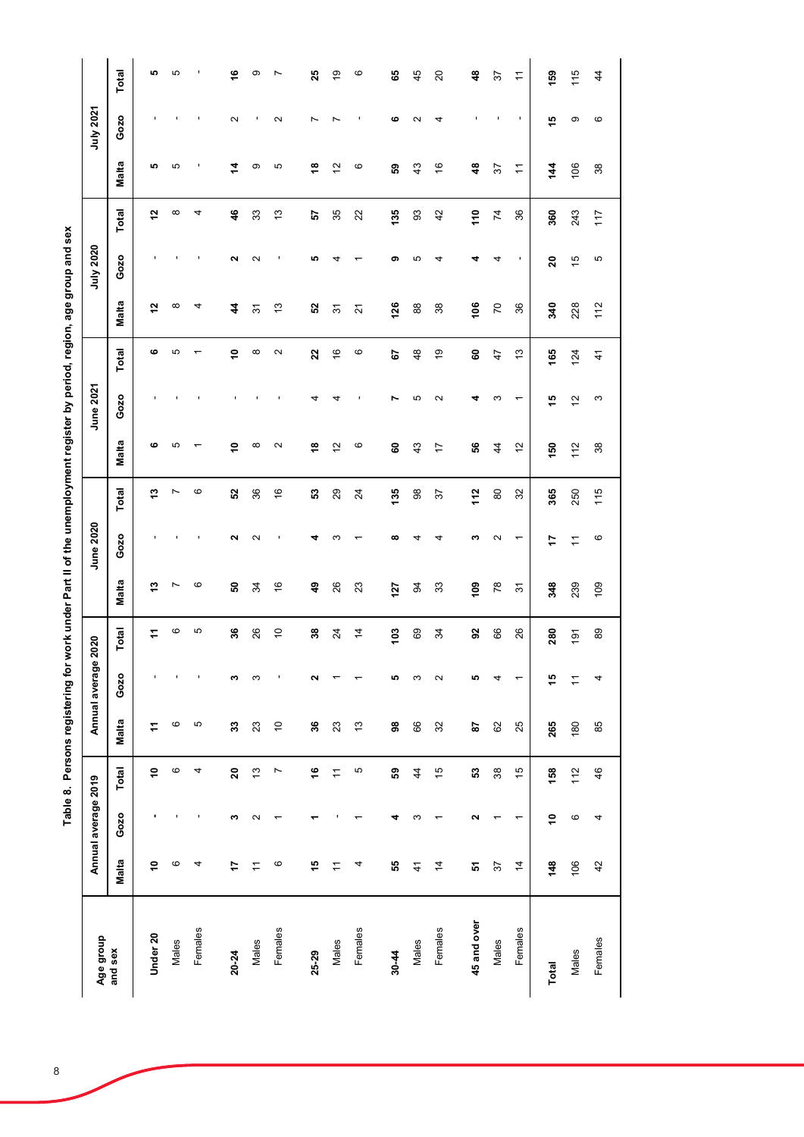| ֠                         |
|---------------------------|
|                           |
|                           |
|                           |
|                           |
| l                         |
| $\ddot{\phantom{a}}$<br>í |

| Age group      |                     | Annual average 2019 |                     |             | Annual average    | 2020            |                 | June 2020         |                |                   | June 2021         |                   |                      | July 2020     |                |                | July 2021 |                |
|----------------|---------------------|---------------------|---------------------|-------------|-------------------|-----------------|-----------------|-------------------|----------------|-------------------|-------------------|-------------------|----------------------|---------------|----------------|----------------|-----------|----------------|
| and sex        | <b>Malta</b>        | Gozo                | <b>Total</b>        | Malta       | Gozo              | Total           | Malta           | Gozo              | Total          | Malta             | Gozo              | Total             | Malta                | Gozo          | Total          | <b>Malta</b>   | Gozo      | Total          |
| Under 20       | Ş                   | ٠                   | Ş                   | 7           |                   | ż               | \$,             |                   | \$,            | ဖ                 |                   | ဖ                 | 57                   |               | 57             | ю              |           | ю              |
| Males          | G                   |                     | ဖ                   | G           |                   | ဖ               | Ľ               |                   | Ľ              | 5                 |                   | 5                 | $\infty$             |               | $\infty$       | 5              |           | 5              |
| Females        | 4                   |                     | 4                   | Б           | J,                | 5               | G               |                   | $\circ$        |                   |                   |                   | 4                    |               | 4              |                |           |                |
| 20-24          | 47                  | 3                   | 20                  | 33          | ∾                 | 36              | ន               | u                 | S2             | Ş                 |                   | Ş                 | 4                    | ฺ             | 46             | $\dot{z}$      | Ν         | ؋              |
| Males          | $\overline{1}$      | $\mathbf{\Omega}$   | 13                  | 23          | S                 | 26              | 34              | $\mathbf{\Omega}$ | 36             | $\infty$          |                   | $\infty$          | 57                   | N             | 33             | တ              |           | တ              |
| Females        | ဖ                   |                     | Ľ                   | $\tilde{0}$ |                   | $\tilde{0}$     | $\frac{6}{5}$   |                   | $\frac{6}{5}$  | $\mathbf{\Omega}$ |                   | $\mathbf{\Omega}$ | $\frac{3}{2}$        |               | $\frac{3}{2}$  | 5              | N         | r              |
| 25-29          | 45                  |                     | ؋                   | 36          | Ν                 | 38              | \$              | d                 | នួ             | \$                | 4                 | 22                | ន                    | ю             | 5              | \$,            | ∼         | 25             |
| Males          | $\tilde{+}$         |                     | $\overline{a}$      | 23          |                   | $\overline{24}$ | 26              | ς                 | 29             | $\tilde{c}$       | 4                 | $\frac{6}{5}$     | $\overline{5}$       |               | 35             | $\tilde{c}$    |           | 67             |
| Females        | 4                   |                     | Ю                   | 13          |                   | $\overline{4}$  | $\mathbf{z}$    |                   | $\overline{2}$ | ဖ                 |                   | $\mathbf  \circ$  | $\overline{2}$       |               | 22             | $\circ$        |           | ဖ              |
|                |                     |                     |                     |             |                   |                 |                 |                   |                |                   |                   |                   |                      |               |                |                |           |                |
| Males<br>30-44 | 55<br>$\frac{4}{1}$ | 4<br>ω              | 59<br>$\frac{4}{3}$ | 98<br>66    | ю<br>S            | 103<br>69       | 127<br>94       | ထ<br>4            | 135<br>98      | 8<br>43           | 5<br>∼            | 48<br>5           | 126<br>$\frac{8}{6}$ | თ<br>5        | 135<br>93      | 59<br>43       | ဖ<br>Ν    | 65<br>45       |
| Females        | $\overline{4}$      |                     | 15                  | 32          | $\mathbf{\Omega}$ | 34              | 33              | 4                 | 57             | $\overline{1}$    | $\mathbf{\Omega}$ | $\overline{9}$    | 38                   | 4             | 42             | $\frac{6}{5}$  | 4         | $\overline{c}$ |
|                |                     |                     |                     |             |                   |                 |                 |                   |                |                   |                   |                   |                      |               |                |                |           |                |
| 45 and over    | 5                   | Σ                   | ន                   | 5           | စ                 | S,              | 109             | ω                 | 112            | 56                | 4                 | 8                 | 106                  | d             | 110            | $\frac{3}{4}$  |           | $\frac{4}{6}$  |
| Males          | 57                  |                     | $38$                | 62          | 4                 | 88              | $\overline{78}$ | $\mathbf{\Omega}$ | $\rm ^{\rm 8}$ | $\overline{4}$    | S                 | 47                | $\overline{C}$       | ⅎ             | $\overline{7}$ | 57             |           | 57             |
| Females        | $\overline{4}$      |                     | 15                  | 25          |                   | 26              | $\overline{5}$  | ↽                 | 32             | $\overline{c}$    |                   | $\frac{3}{2}$     | 36                   |               | 36             | $\overline{ }$ | ٠         | $\overline{1}$ |
| Total          | 148                 | \$                  | 158                 | 265         | 15                | 280             | 348             | 17                | 365            | 150               | 49                | 165               | 340                  | 20            | 360            | $\frac{14}{1}$ | မာ        | 159            |
| Males          | 106                 | $\circ$             | 112                 | 180         | $\tilde{+}$       | 191             | 239             | $\overline{1}$    | 250            | 112               | $\frac{2}{3}$     | 124               | 228                  | $\frac{5}{3}$ | 243            | 106            | တ         | 115            |
| Females        | 42                  | 4                   | 46                  | 85          | 4                 | 89              | 109             | ဖ                 | 115            | 38                | S                 | $\frac{4}{3}$     | 112                  | 5             | 117            | 38             | ဖ         | $\overline{4}$ |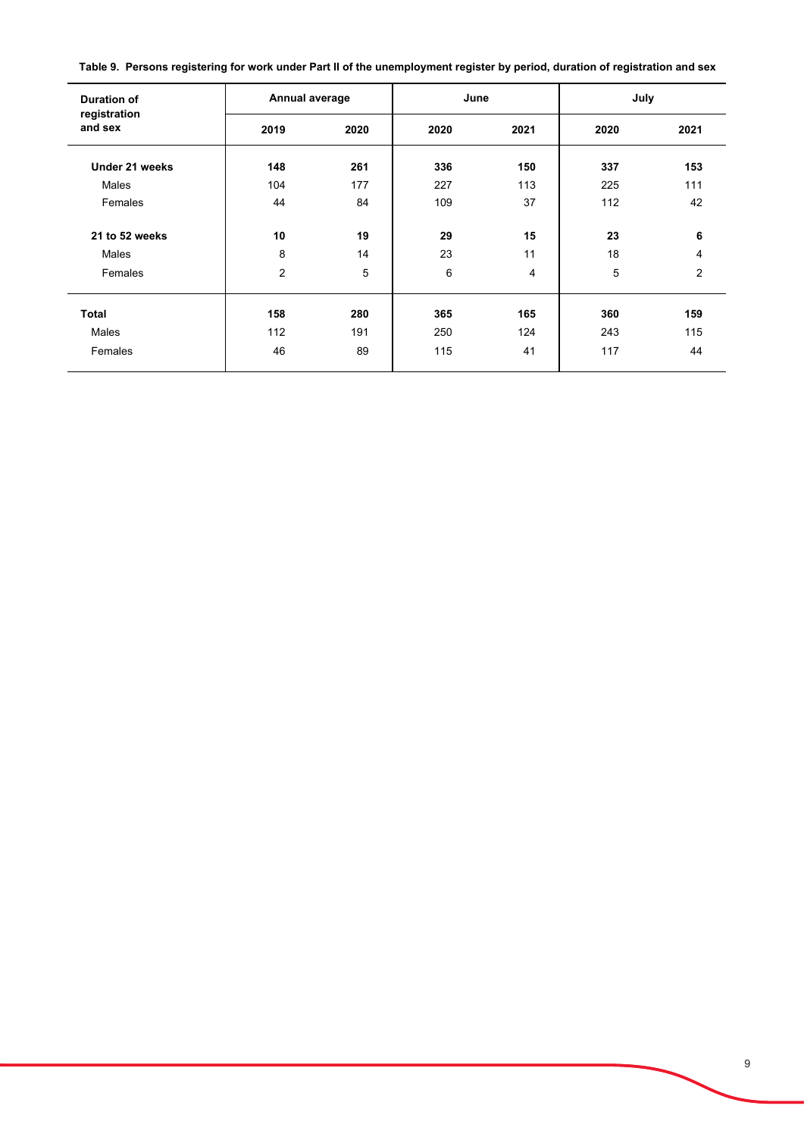**Table 9. Persons registering for work under Part II of the unemployment register by period, duration of registration and sex**

| <b>Duration of</b>      | Annual average |      | June |      | July |      |
|-------------------------|----------------|------|------|------|------|------|
| registration<br>and sex | 2019           | 2020 | 2020 | 2021 | 2020 | 2021 |
| Under 21 weeks          | 148            | 261  | 336  | 150  | 337  | 153  |
| Males                   | 104            | 177  | 227  | 113  | 225  | 111  |
| Females                 | 44             | 84   | 109  | 37   | 112  | 42   |
| 21 to 52 weeks          | 10             | 19   | 29   | 15   | 23   | 6    |
| Males                   | 8              | 14   | 23   | 11   | 18   | 4    |
| Females                 | $\overline{2}$ | 5    | 6    | 4    | 5    | 2    |
| <b>Total</b>            | 158            | 280  | 365  | 165  | 360  | 159  |
| Males                   | 112            | 191  | 250  | 124  | 243  | 115  |
| Females                 | 46             | 89   | 115  | 41   | 117  | 44   |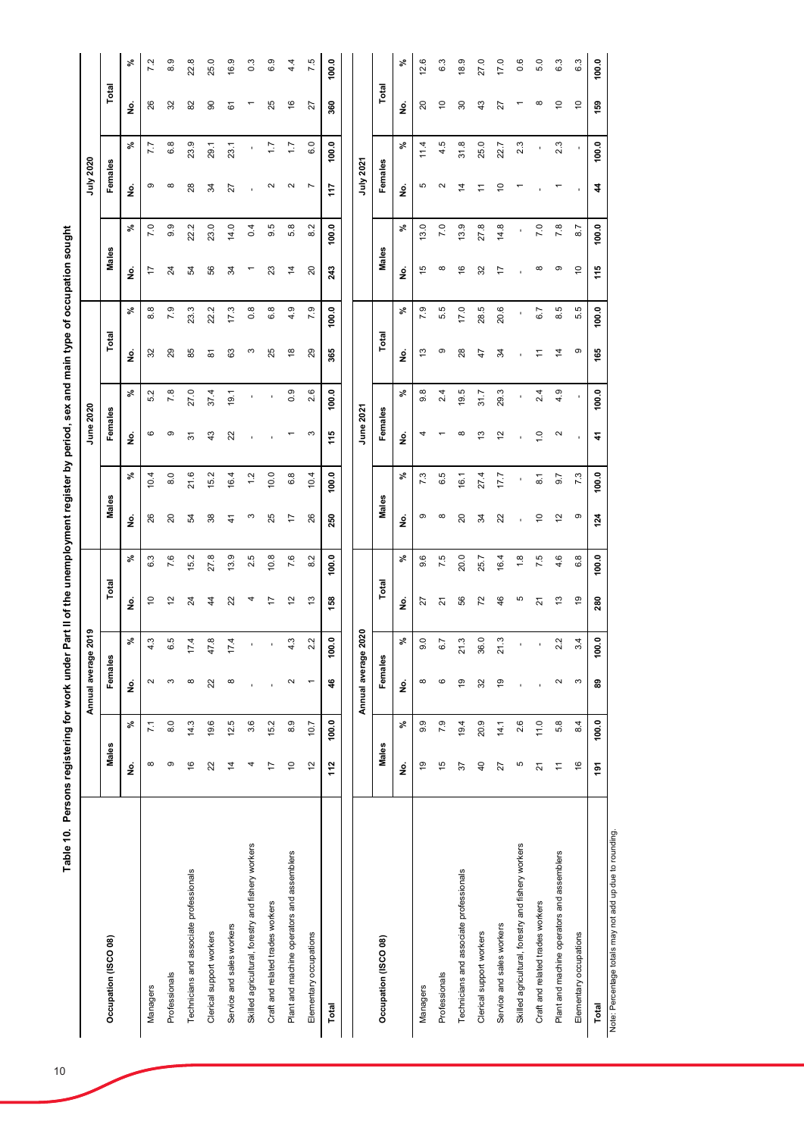|                                                         |                |                 | Annual average 2019                   |                |               |               |               |                  | June 2020                  |                            |                |                  |                |       | July 2020         |                  |                |       |
|---------------------------------------------------------|----------------|-----------------|---------------------------------------|----------------|---------------|---------------|---------------|------------------|----------------------------|----------------------------|----------------|------------------|----------------|-------|-------------------|------------------|----------------|-------|
| Occupation (ISCO 08)                                    | Males          |                 | Females                               |                | Total         |               | Males         |                  | Females                    |                            | Total          |                  | Males          |       | Females           |                  | Total          |       |
|                                                         | ş              | వి              | $\frac{\dot{\mathsf{S}}}{\mathsf{Z}}$ | వి             | ş             | వి            | ş             | వి               | <u>ş</u>                   | $\boldsymbol{\mathcal{S}}$ | ş              | వి               | ş              | వి    | ş                 | వి               | ş              | న్    |
| Managers                                                | ${}^{\circ}$   | $\overline{71}$ | $\sim$                                | ù.             | $\tilde{c}$   | 6.3           | 26            | 10.4             | ဖ                          | 5.2                        | 32             | 8.8              | 17             | 7.0   | თ                 | 77               | 26             | 7.2   |
| Professionals                                           | ၜ              | 8.0             | S                                     | rU)<br>$\circ$ | $\frac{2}{3}$ | 7.6           | $\Omega$      | $\frac{8}{6}$    | σ                          | 7.8                        | 29             | 7.9              | 24             | 9.9   | $\infty$          | 6.8              | 32             | 8.9   |
| Technicians and associate professionals                 | $\overline{6}$ | 14.3            | $\infty$                              | 4.             | 24            | 15.2          | R,            | 21.6             | 5                          | 27.0                       | 85             | 23.3             | 54             | 22.2  | 28                | 23.9             | 82             | 22.8  |
| Clerical support workers                                | $\mathbf{z}$   | 19.6            | 22                                    | œ              | 4             | 27.8          | 38            | 15.2             | $\frac{3}{4}$              | 37.4                       | $\overline{8}$ | 22.2             | 56             | 23.0  | ¥,                | 29.1             | 8              | 25.0  |
| Service and sales workers                               | $\overline{4}$ | 12.5            | $\infty$                              | 4.             | 22            | 13.9          | $\frac{4}{3}$ | 16.4             | $\boldsymbol{\mathcal{Z}}$ | 19.1                       | 63             | 17.3             | 34             | 14.0  | 27                | 23.1             | 61             | 16.9  |
| Skilled agricultural, forestry and fishery workers      | 4              | 3.6             |                                       |                | 4             | 2.5           | S             | 1.2              |                            |                            | S              | $0.\overline{8}$ |                | 0.4   |                   | f,               |                | 0.3   |
| Craft and related trades workers                        | 17             | 15.2            |                                       |                | 17            | 10.8          | 25            | 10.0             |                            |                            | 25             | 6.8              | 23             | 9.5   | $\sim$            | $\overline{1}$ . | 25             | 6.9   |
| Plant and machine operators and assemblers              | $\tilde{a}$    | 8.9             | $\mathbf{\Omega}$                     | 4.3            | $\tilde{c}$   | 7.6           | 17            | 6.8              |                            | 0.9                        | $\frac{8}{1}$  | 4.9              | $\overline{4}$ | 5.8   | $\sim$            | $\overline{1}$ . | $\frac{6}{5}$  | 4.4   |
| Elementary occupations                                  | 12             | 10.7            |                                       | 2.2            | 13            | 8.2           | 26            | 10.4             | S                          | 2.6                        | 29             | 7.9              | 20             | 8.2   | L                 | 6.0              | 27             | 7.5   |
| Total                                                   | 112            | 100.0           | 46                                    | 100.0          | 158           | 100.0         | 250           | 100.0            | 115                        | 100.0                      | 365            | 100.0            | 243            | 100.0 | 117               | 100.0            | 360            | 100.0 |
|                                                         |                |                 |                                       |                |               |               |               |                  |                            |                            |                |                  |                |       |                   |                  |                |       |
|                                                         |                |                 | Annual average                        | 2020           |               |               |               |                  | June 2021                  |                            |                |                  |                |       | July 2021         |                  |                |       |
| Occupation (ISCO 08)                                    | Males          |                 | Females                               |                | Total         |               | Males         |                  | Females                    |                            | Total          |                  | Males          |       | Females           |                  | Total          |       |
|                                                         | ş              | వి              | غ<br>ع                                | వి             | ş             | వి            | ş             | వి               | ş                          | వి                         | ş              | వి               | ş              | వి    | ġ                 | వి               | ş              | వి    |
| Managers                                                | 67             | 9.9             | ${}^{\circ}$                          | $\circ$        | 27            | 9.6           | თ             | 7.3              | 4                          | $9.\overline{8}$           | 13             | 7.9              | $\frac{5}{1}$  | 13.0  | Ю                 | 11.4             | $\overline{c}$ | 12.6  |
| Professionals                                           | $\frac{1}{2}$  | 7.9             | $\circ$                               | N<br>ແວ່       | ಸ             | 7.5           | $\infty$      | 6.5              |                            | 2.4                        | တ              | 5.5              | $\infty$       | 7.0   | $\mathbf{\Omega}$ | 4.5              | S              | 6.3   |
| Technicians and associate professionals                 | 57             | 19.4            | $\overline{9}$                        | Ċ,<br>Ċ        | 56            | 20.0          | $\Omega$      | 16.1             | ∞                          | 19.5                       | 28             | 17.0             | $\frac{6}{5}$  | 13.9  | 4                 | 31.8             | 80             | 18.9  |
| Clerical support workers                                | $\overline{4}$ | 20.9            | 32                                    | 36.0           | 72            | 25.7          | रू            | 27.4             | ഇ                          | 31.7                       | $\ddot{4}$     | 28.5             | 32             | 27.8  | Ξ                 | 25.0             | $\frac{3}{4}$  | 27.0  |
| Service and sales workers                               | 27             | 14.1            | $\frac{9}{2}$                         | c,<br>Ń        | 46            | 16.4          | 22            | 17.7             | 12                         | 29.3                       | 34             | 20.6             | 17             | 14.8  | ē                 | 22.7             | 27             | 17.0  |
| Skilled agricultural, forestry and fishery workers      | Ю              | 2.6             |                                       |                | Ю             | $\frac{8}{1}$ |               |                  |                            |                            |                |                  |                |       |                   | 2.3              |                | 0.6   |
| Craft and related trades workers                        | $\overline{2}$ | 11.0            |                                       |                | ಸ             | 7.5           | ő             | $\overline{8}$ . | Q                          | 2.4                        | Ξ              | 6.7              | $\infty$       | 7.0   |                   |                  | $\infty$       | 5.0   |
| Plant and machine operators and assemblers              | $\overline{a}$ | 5.8             | $\sim$                                | 2.2            | $\frac{3}{2}$ | 4.6           | ల             | 9.7              | $\mathbf{\Omega}$          | 4.9                        | $\ddot{4}$     | 8.5              | თ              | 7.8   |                   | 2.3              | $\overline{C}$ | 6.3   |
| Elementary occupations                                  | $\frac{6}{5}$  | 8.4             | S                                     | 3.4            | $\frac{9}{2}$ | 6.8           | ၜ             | 7.3              | ×                          |                            | တ              | 5.5              | $\overline{C}$ | 8.7   |                   |                  | $\tilde{a}$    | 6.3   |
| Total                                                   | $\frac{5}{2}$  | 100.0           | 89                                    | 100.0          | 280           | 100.0         | 124           | 100.0            | $\hat{r}$                  | 100.0                      | 165            | 100.0            | 115            | 100.0 | $\boldsymbol{4}$  | 100.0            | 159            | 100.0 |
| Note: Percentage totals may not add up due to rounding. |                |                 |                                       |                |               |               |               |                  |                            |                            |                |                  |                |       |                   |                  |                |       |

Table 10. Persons registering for work under Part II of the unemployment register by period, sex and main type of occupation sought **Table 10. Persons registering for work under Part II of the unemployment register by period, sex and main type of occupation sought**